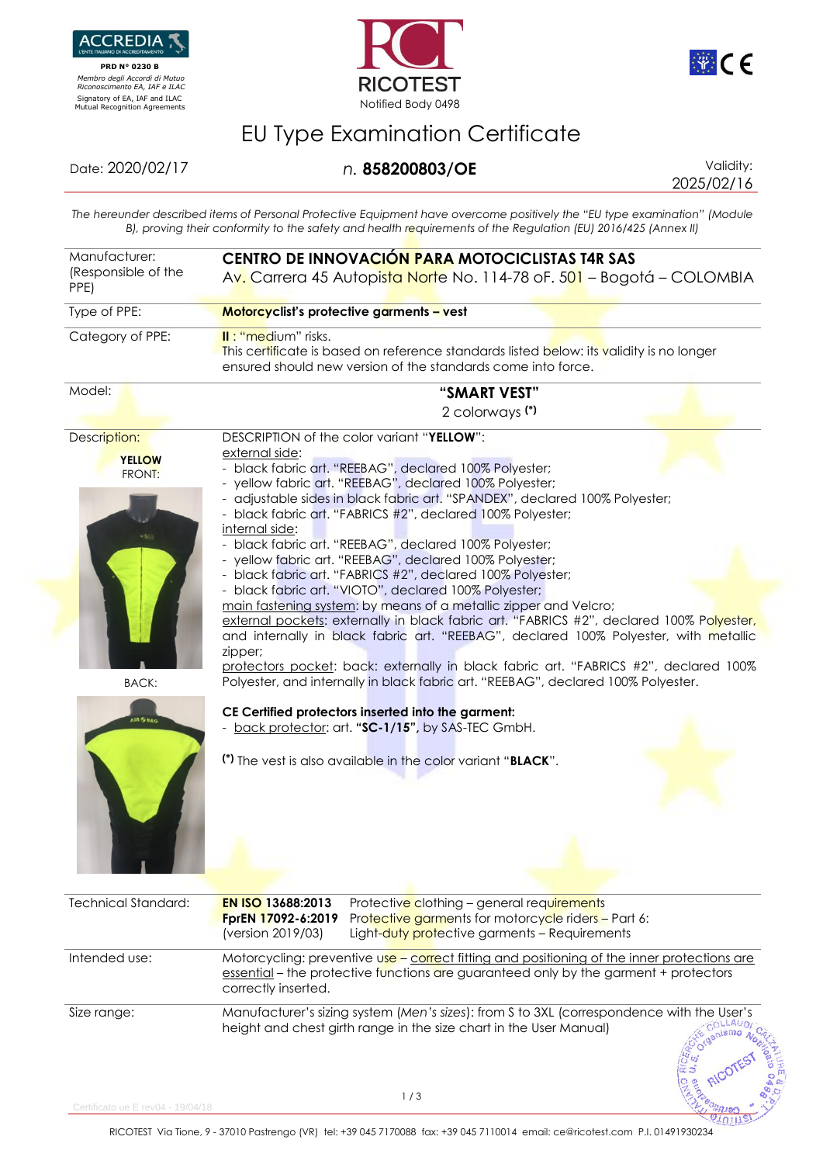

 **PRD N° 0230 B**  *Membro degli Accordi di Mutuo Riconoscimento EA, IAF e ILAC*





## EU Type Examination Certificate

## Date: 2020/02/17 *n.* **858200803/OE** Validity:

2025/02/16

נונחצ

*The hereunder described items of Personal Protective Equipment have overcome positively the "EU type examination" (Module B), proving their conformity to the safety and health requirements of the Regulation (EU) 2016/425 (Annex II)*

| Manufacturer:<br>(Responsible of the<br>PPE) | CENTRO DE INNOVACIÓN PARA MOTOCICLISTAS T4R SAS<br>Av. Carrera 45 Autopista Norte No. 114-78 oF. 501 - Bogotá - COLOMBIA                                                                                                                                                                                                                                                                                                                                                                                                                                                                                                                                                                                                                                     |  |  |
|----------------------------------------------|--------------------------------------------------------------------------------------------------------------------------------------------------------------------------------------------------------------------------------------------------------------------------------------------------------------------------------------------------------------------------------------------------------------------------------------------------------------------------------------------------------------------------------------------------------------------------------------------------------------------------------------------------------------------------------------------------------------------------------------------------------------|--|--|
| Type of PPE:                                 | Motorcyclist's protective garments - vest                                                                                                                                                                                                                                                                                                                                                                                                                                                                                                                                                                                                                                                                                                                    |  |  |
| Category of PPE:                             | II: "medium" risks.<br>This certificate is based on reference standards listed below: its validity is no longer<br>ensured should new version of the standards come into force.                                                                                                                                                                                                                                                                                                                                                                                                                                                                                                                                                                              |  |  |
| Model:                                       | "SMART VEST"<br>2 colorways (*)                                                                                                                                                                                                                                                                                                                                                                                                                                                                                                                                                                                                                                                                                                                              |  |  |
| Description:<br><b>YELLOW</b><br>FRONT:      | DESCRIPTION of the color variant "YELLOW":<br>external side:<br>- black fabric art. "REEBAG", declared 100% Polyester;<br>- yellow fabric art. "REEBAG", declared 100% Polyester;<br>- adjustable sides in black fabric art. "SPANDEX", declared 100% Polyester;<br>- black fabric art. "FABRICS #2", declared 100% Polyester;<br>internal side:<br>- black fabric art. "REEBAG", declared 100% Polyester;<br>- yellow fabric art. "REEBAG", declared 100% Polyester;<br>- black fabric art. "FABRICS #2", declared 100% Polyester;<br>- black fabric art. "VIOTO", declared 100% Polyester;<br>main fastening system: by means of a metallic zipper and Velcro;<br>external pockets: externally in black fabric art. "FABRICS #2", declared 100% Polyester, |  |  |
| <b>BACK:</b>                                 | and internally in black fabric art. "REEBAG", declared 100% Polyester, with metallic<br>zipper;<br>protectors pocket: back: externally in black fabric art. "FABRICS #2", declared 100%<br>Polyester, and internally in black fabric art. "REEBAG", declared 100% Polyester.                                                                                                                                                                                                                                                                                                                                                                                                                                                                                 |  |  |
| <b>IR SHAG</b>                               | CE Certified protectors inserted into the garment:<br>- back protector: art. "SC-1/15", by SAS-TEC GmbH.<br>(*) The vest is also available in the color variant "BLACK".                                                                                                                                                                                                                                                                                                                                                                                                                                                                                                                                                                                     |  |  |
| <b>Technical Standard:</b>                   | <b>EN ISO 13688:2013</b><br>Protective clothing - general requirements<br>FprEN 17092-6:2019<br>Protective garments for motorcycle riders - Part 6:<br>(version 2019/03)<br>Light-duty protective garments - Requirements                                                                                                                                                                                                                                                                                                                                                                                                                                                                                                                                    |  |  |
| Intended use:                                | Motorcycling: preventive use - correct fitting and positioning of the inner protections are<br>essential – the protective functions are guaranteed only by the garment + protectors<br>correctly inserted.                                                                                                                                                                                                                                                                                                                                                                                                                                                                                                                                                   |  |  |
| Size range:                                  | Manufacturer's sizing system (Men's sizes): from S to 3XL (correspondence with the User's<br>COLL<br>height and chest girth range in the size chart in the User Manual)<br>nismo <sub>A</sub>                                                                                                                                                                                                                                                                                                                                                                                                                                                                                                                                                                |  |  |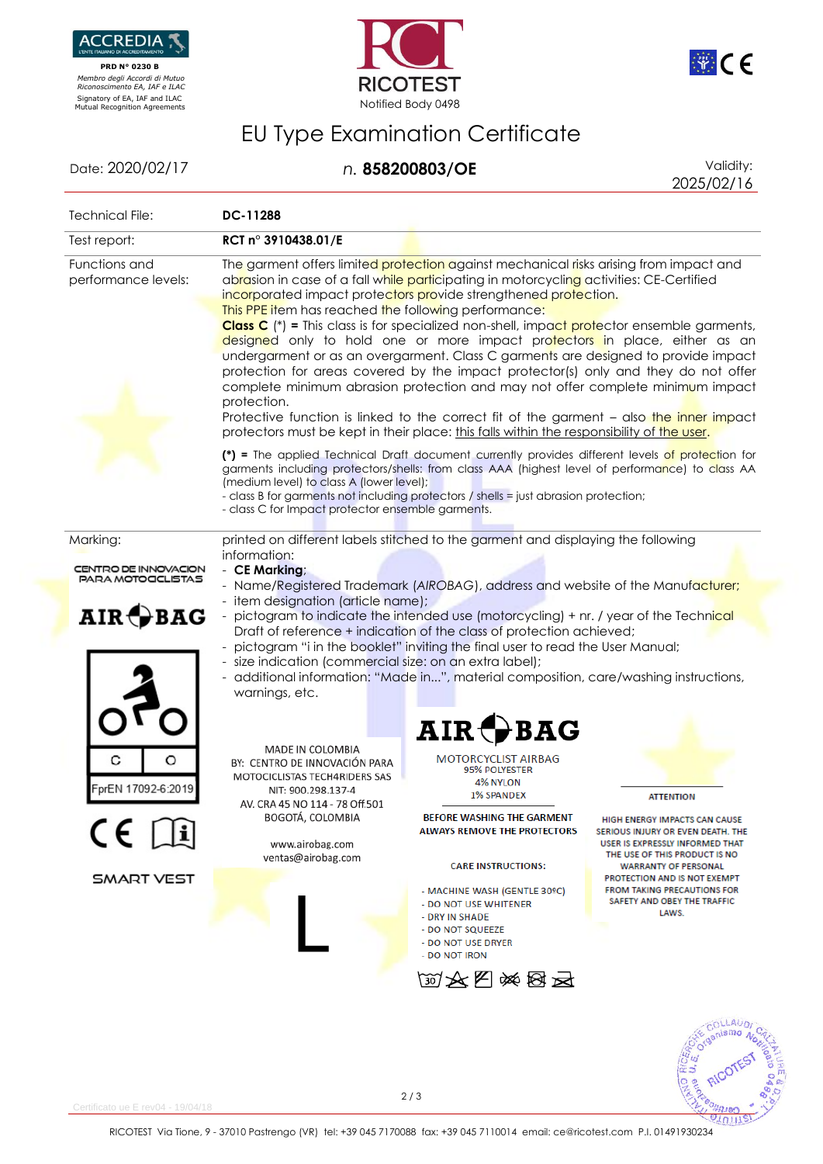

 **PRD N° 0230 B**  *Membro degli Accordi di Mutuo Riconoscimento EA, IAF e ILAC*





## EU Type Examination Certificate

Date: 2020/02/17 *n.* **858200803/OE** Validity:

2025/02/16

**ACCES**<br>BED RICOT

 $21011$ 

| Technical File:                                                                          | DC-11288                                                                                                                                                                                                                                                                                                                                                                                                                                                                                                                                                                                                                                                                                                                                                                                                                                                                                                                                                                                                                                                                                                                                                                                                                                                                                                                                                               |                                                                                                                                                                                                                                                                                                                                                                                              |                                                                                                                                                                                                                                                                                                                |  |
|------------------------------------------------------------------------------------------|------------------------------------------------------------------------------------------------------------------------------------------------------------------------------------------------------------------------------------------------------------------------------------------------------------------------------------------------------------------------------------------------------------------------------------------------------------------------------------------------------------------------------------------------------------------------------------------------------------------------------------------------------------------------------------------------------------------------------------------------------------------------------------------------------------------------------------------------------------------------------------------------------------------------------------------------------------------------------------------------------------------------------------------------------------------------------------------------------------------------------------------------------------------------------------------------------------------------------------------------------------------------------------------------------------------------------------------------------------------------|----------------------------------------------------------------------------------------------------------------------------------------------------------------------------------------------------------------------------------------------------------------------------------------------------------------------------------------------------------------------------------------------|----------------------------------------------------------------------------------------------------------------------------------------------------------------------------------------------------------------------------------------------------------------------------------------------------------------|--|
| Test report:                                                                             | RCT n° 3910438.01/E                                                                                                                                                                                                                                                                                                                                                                                                                                                                                                                                                                                                                                                                                                                                                                                                                                                                                                                                                                                                                                                                                                                                                                                                                                                                                                                                                    |                                                                                                                                                                                                                                                                                                                                                                                              |                                                                                                                                                                                                                                                                                                                |  |
| Functions and<br>performance levels:                                                     | The garment offers limited protection against mechanical risks arising from impact and<br>abrasion in case of a fall while participating in motorcycling activities: CE-Certified<br>incorporated impact protectors provide strengthened protection.<br>This PPE item has reached the following performance:<br><b>Class C</b> $(*)$ = This class is for specialized non-shell, impact protector ensemble garments,<br>designed only to hold one or more impact protectors in place, either as an<br>undergarment or as an overgarment. Class C garments are designed to provide impact<br>protection for areas covered by the impact protector(s) only and they do not offer<br>complete minimum abrasion protection and may not offer complete minimum impact<br>protection.<br>Protective function is linked to the correct fit of the garment - also the inner impact<br>protectors must be kept in their place: this falls within the responsibility of the user.<br>(*) = The applied Technical Draft document currently provides different levels of protection for<br>garments including protectors/shells: from class AAA (highest level of performance) to class AA<br>(medium level) to class A (lower level);<br>- class B for garments not including protectors / shells = just abrasion protection;<br>- class C for Impact protector ensemble garments. |                                                                                                                                                                                                                                                                                                                                                                                              |                                                                                                                                                                                                                                                                                                                |  |
| Marking:<br>CENTRO DE INNOVACION<br>PARA MOTOCCLISTAS<br>$\mathbf{AIR} \bigoplus$<br>BAG | printed on different labels stitched to the garment and displaying the following<br>information:<br>- CE Marking;<br>- Name/Registered Trademark (AIROBAG), address and website of the Manufacturer;<br>- item designation (article name);<br>- pictogram to indicate the intended use (motorcycling) + nr. / year of the Technical<br>Draft of reference + indication of the class of protection achieved;<br>pictogram "i in the booklet" inviting the final user to read the User Manual;<br>- size indication (commercial size: on an extra label);<br>- additional information: "Made in", material composition, care/washing instructions,<br>warnings, etc.                                                                                                                                                                                                                                                                                                                                                                                                                                                                                                                                                                                                                                                                                                     |                                                                                                                                                                                                                                                                                                                                                                                              |                                                                                                                                                                                                                                                                                                                |  |
| O<br>prEN 17092-6:2019<br>$CE$ $\Box$<br><b>SMART VEST</b>                               | MADE IN COLOMBIA<br>BY: CENTRO DE INNOVACIÓN PARA<br>MOTOCICLISTAS TECH4RIDERS SAS<br>NIT: 900.298.137-4<br>AV. CRA 45 NO 114 - 78 Off.501<br>BOGOTÁ, COLOMBIA<br>www.airobag.com<br>ventas@airobag.com                                                                                                                                                                                                                                                                                                                                                                                                                                                                                                                                                                                                                                                                                                                                                                                                                                                                                                                                                                                                                                                                                                                                                                | $\mathbf{AIR}$ $\mathbf{\mathcal{A}}$<br><b>BAG</b><br><b>MOTORCYCLIST AIRBAG</b><br>95% POLYESTER<br>4% NYLON<br><b>1% SPANDEX</b><br>BEFORE WASHING THE GARMENT<br><b>ALWAYS REMOVE THE PROTECTORS</b><br><b>CARE INSTRUCTIONS:</b><br>- MACHINE WASH (GENTLE 30°C)<br>- DO NOT USE WHITENER<br>- DRY IN SHADE<br>- DO NOT SQUEEZE<br>- DO NOT USE DRYER<br>- DO NOT IRON<br><b>函文图※图云</b> | <b>ATTENTION</b><br><b>HIGH ENERGY IMPACTS CAN CAUSE</b><br>SERIOUS INJURY OR EVEN DEATH. THE<br>USER IS EXPRESSLY INFORMED THAT<br>THE USE OF THIS PRODUCT IS NO<br><b>WARRANTY OF PERSONAL</b><br>PROTECTION AND IS NOT EXEMPT<br><b>FROM TAKING PRECAUTIONS FOR</b><br>SAFETY AND OBEY THE TRAFFIC<br>LAWS. |  |
|                                                                                          |                                                                                                                                                                                                                                                                                                                                                                                                                                                                                                                                                                                                                                                                                                                                                                                                                                                                                                                                                                                                                                                                                                                                                                                                                                                                                                                                                                        |                                                                                                                                                                                                                                                                                                                                                                                              |                                                                                                                                                                                                                                                                                                                |  |